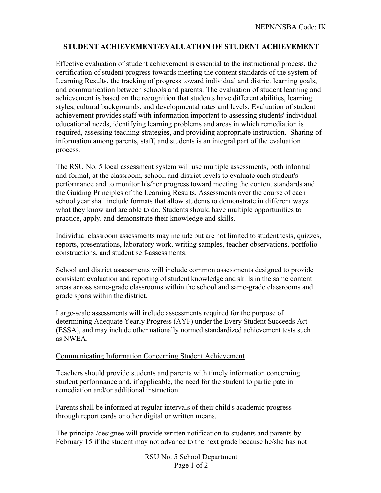## **STUDENT ACHIEVEMENT/EVALUATION OF STUDENT ACHIEVEMENT**

Effective evaluation of student achievement is essential to the instructional process, the certification of student progress towards meeting the content standards of the system of Learning Results, the tracking of progress toward individual and district learning goals, and communication between schools and parents. The evaluation of student learning and achievement is based on the recognition that students have different abilities, learning styles, cultural backgrounds, and developmental rates and levels. Evaluation of student achievement provides staff with information important to assessing students' individual educational needs, identifying learning problems and areas in which remediation is required, assessing teaching strategies, and providing appropriate instruction. Sharing of information among parents, staff, and students is an integral part of the evaluation process.

The RSU No. 5 local assessment system will use multiple assessments, both informal and formal, at the classroom, school, and district levels to evaluate each student's performance and to monitor his/her progress toward meeting the content standards and the Guiding Principles of the Learning Results. Assessments over the course of each school year shall include formats that allow students to demonstrate in different ways what they know and are able to do. Students should have multiple opportunities to practice, apply, and demonstrate their knowledge and skills.

Individual classroom assessments may include but are not limited to student tests, quizzes, reports, presentations, laboratory work, writing samples, teacher observations, portfolio constructions, and student self-assessments.

School and district assessments will include common assessments designed to provide consistent evaluation and reporting of student knowledge and skills in the same content areas across same-grade classrooms within the school and same-grade classrooms and grade spans within the district.

Large-scale assessments will include assessments required for the purpose of determining Adequate Yearly Progress (AYP) under the Every Student Succeeds Act (ESSA), and may include other nationally normed standardized achievement tests such as NWEA.

## Communicating Information Concerning Student Achievement

Teachers should provide students and parents with timely information concerning student performance and, if applicable, the need for the student to participate in remediation and/or additional instruction.

Parents shall be informed at regular intervals of their child's academic progress through report cards or other digital or written means.

The principal/designee will provide written notification to students and parents by February 15 if the student may not advance to the next grade because he/she has not

> RSU No. 5 School Department Page 1 of 2